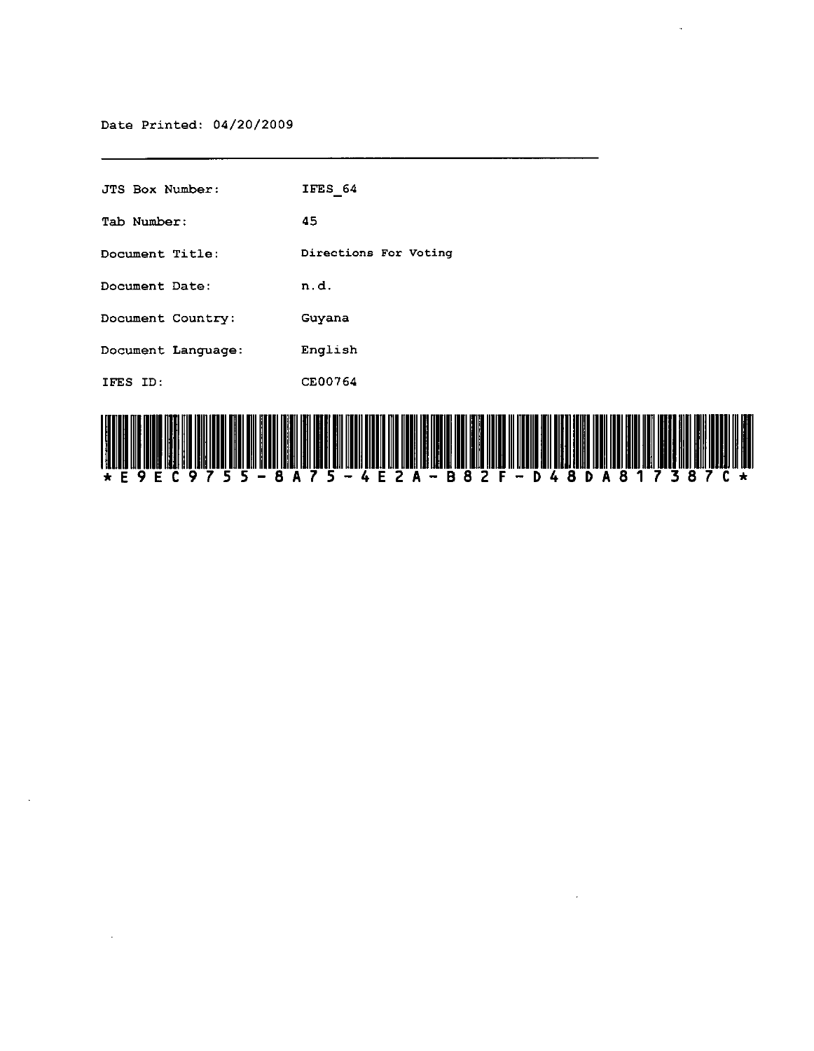$\sim$ 

| JTS Box Number:    | IFES 64               |
|--------------------|-----------------------|
| Tab Number:        | 45                    |
| Document Title:    | Directions For Voting |
| Document Date:     | n.d.                  |
| Document Country:  | Guyana                |
| Document Language: | English               |
| IFES ID:           | CE00764               |
|                    |                       |



 $\bar{z}$ 

 $\bar{a}$